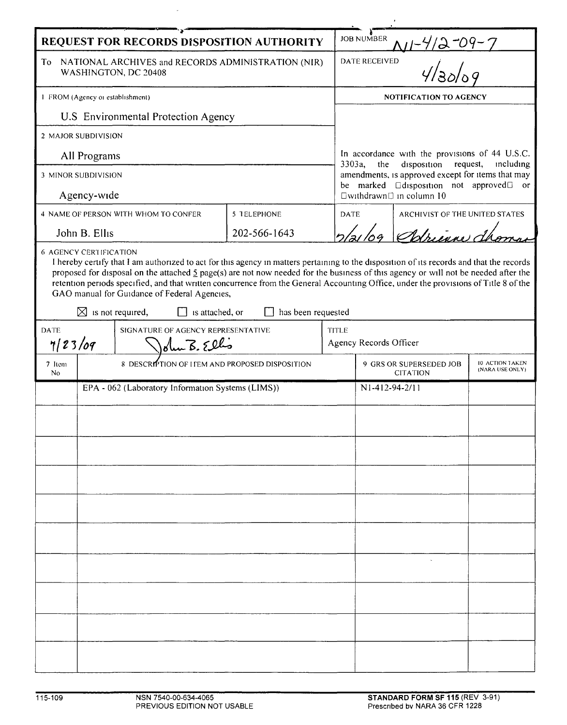| REQUEST FOR RECORDS DISPOSITION AUTHORITY                                                   |                                                   |                                                                                                                                                                                                                                                                                                                                                                                                                                                                         |                    |       | <b>JOB NUMBER</b>                                                                                               |                                |  |  |
|---------------------------------------------------------------------------------------------|---------------------------------------------------|-------------------------------------------------------------------------------------------------------------------------------------------------------------------------------------------------------------------------------------------------------------------------------------------------------------------------------------------------------------------------------------------------------------------------------------------------------------------------|--------------------|-------|-----------------------------------------------------------------------------------------------------------------|--------------------------------|--|--|
| NATIONAL ARCHIVES and RECORDS ADMINISTRATION (NIR)<br>To<br>WASHINGTON, DC 20408            |                                                   |                                                                                                                                                                                                                                                                                                                                                                                                                                                                         |                    |       | $\frac{4}{2}$ -09 - 7<br><b>DATE RECEIVED</b>                                                                   |                                |  |  |
| 1 FROM (Agency or establishment)                                                            |                                                   |                                                                                                                                                                                                                                                                                                                                                                                                                                                                         |                    |       | <b>NOTIFICATION TO AGENCY</b>                                                                                   |                                |  |  |
| U.S Environmental Protection Agency                                                         |                                                   |                                                                                                                                                                                                                                                                                                                                                                                                                                                                         |                    |       |                                                                                                                 |                                |  |  |
| 2 MAJOR SUBDIVISION                                                                         |                                                   |                                                                                                                                                                                                                                                                                                                                                                                                                                                                         |                    |       |                                                                                                                 |                                |  |  |
| All Programs                                                                                |                                                   |                                                                                                                                                                                                                                                                                                                                                                                                                                                                         |                    |       | In accordance with the provisions of 44 U.S.C.<br>3303a,<br>request,<br>the<br>disposition<br>including         |                                |  |  |
| 3 MINOR SUBDIVISION                                                                         |                                                   |                                                                                                                                                                                                                                                                                                                                                                                                                                                                         |                    |       | amendments, is approved except for items that may<br>be marked <b>Edisposition</b> not approved <sup>E</sup> or |                                |  |  |
| Agency-wide                                                                                 |                                                   |                                                                                                                                                                                                                                                                                                                                                                                                                                                                         |                    |       | □withdrawn□ in column 10                                                                                        |                                |  |  |
| 4 NAME OF PERSON WITH WHOM TO CONFER                                                        |                                                   |                                                                                                                                                                                                                                                                                                                                                                                                                                                                         | 5 TELEPHONE        |       | <b>DATE</b>                                                                                                     | ARCHIVIST OF THE UNITED STATES |  |  |
| John B. Ellis                                                                               |                                                   |                                                                                                                                                                                                                                                                                                                                                                                                                                                                         | 202-566-1643       |       |                                                                                                                 | 2/21/09 Adrience de            |  |  |
|                                                                                             |                                                   | I hereby certify that I am authorized to act for this agency in matters pertaining to the disposition of its records and that the records<br>proposed for disposal on the attached 5 page(s) are not now needed for the business of this agency or will not be needed after the<br>retention periods specified, and that written concurrence from the General Accounting Office, under the provisions of Title 8 of the<br>GAO manual for Guidance of Federal Agencies, |                    |       |                                                                                                                 |                                |  |  |
|                                                                                             | $\boxtimes$ is not required,                      | is attached, or                                                                                                                                                                                                                                                                                                                                                                                                                                                         | has been requested |       |                                                                                                                 |                                |  |  |
| <b>DATE</b><br>SIGNATURE OF AGENCY REPRESENTATIVE<br>7/23/09<br>olun $\overline{B}$ . Ellis |                                                   |                                                                                                                                                                                                                                                                                                                                                                                                                                                                         |                    | TITLE | Agency Records Officer                                                                                          |                                |  |  |
| 7 Item<br>No                                                                                | 8 DESCRIPTION OF I LEM AND PROPOSED DISPOSITION   |                                                                                                                                                                                                                                                                                                                                                                                                                                                                         |                    |       | 10 ACTION TAKEN<br>9 GRS OR SUPERSEDED JOB<br>(NARA USE ONLY)<br><b>CITATION</b>                                |                                |  |  |
|                                                                                             | EPA - 062 (Laboratory Information Systems (LIMS)) |                                                                                                                                                                                                                                                                                                                                                                                                                                                                         |                    |       | N1-412-94-2/11                                                                                                  |                                |  |  |
|                                                                                             |                                                   |                                                                                                                                                                                                                                                                                                                                                                                                                                                                         |                    |       |                                                                                                                 |                                |  |  |
|                                                                                             |                                                   |                                                                                                                                                                                                                                                                                                                                                                                                                                                                         |                    |       |                                                                                                                 |                                |  |  |
|                                                                                             |                                                   |                                                                                                                                                                                                                                                                                                                                                                                                                                                                         |                    |       |                                                                                                                 |                                |  |  |
|                                                                                             |                                                   |                                                                                                                                                                                                                                                                                                                                                                                                                                                                         |                    |       |                                                                                                                 |                                |  |  |
|                                                                                             |                                                   |                                                                                                                                                                                                                                                                                                                                                                                                                                                                         |                    |       |                                                                                                                 |                                |  |  |
|                                                                                             |                                                   |                                                                                                                                                                                                                                                                                                                                                                                                                                                                         |                    |       |                                                                                                                 |                                |  |  |
|                                                                                             |                                                   |                                                                                                                                                                                                                                                                                                                                                                                                                                                                         |                    |       |                                                                                                                 |                                |  |  |
|                                                                                             |                                                   |                                                                                                                                                                                                                                                                                                                                                                                                                                                                         |                    |       |                                                                                                                 |                                |  |  |
|                                                                                             |                                                   |                                                                                                                                                                                                                                                                                                                                                                                                                                                                         |                    |       |                                                                                                                 |                                |  |  |
|                                                                                             |                                                   |                                                                                                                                                                                                                                                                                                                                                                                                                                                                         |                    |       |                                                                                                                 |                                |  |  |
|                                                                                             |                                                   |                                                                                                                                                                                                                                                                                                                                                                                                                                                                         |                    |       |                                                                                                                 |                                |  |  |

 $\hat{\mathcal{L}}$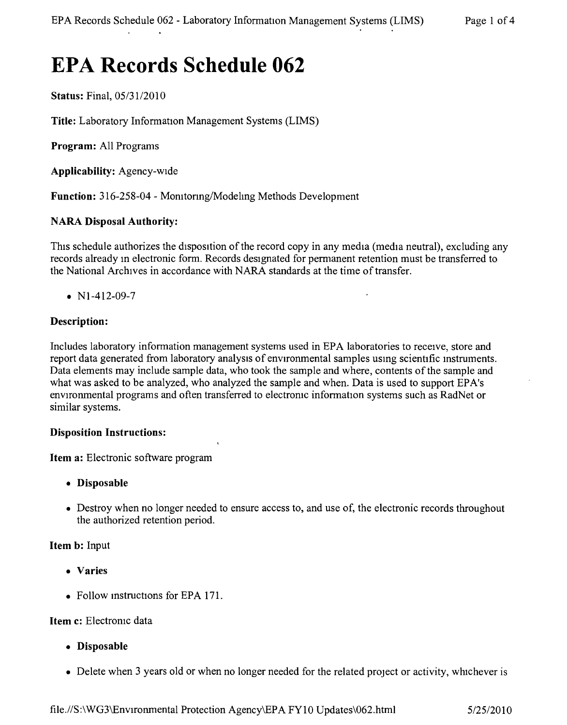# **EPA Records Schedule 062**

Status: Final, *05/3112010*

Title: Laboratory Information Management Systems (LIMS)

Program: All Programs

Applicability: Agency-wide

Function: 316-258-04 - Monitoring/Modeling Methods Development

#### NARA Disposal Authority:

This schedule authorizes the disposition of the record copy in any media (media neutral), excluding any records already in electronic form. Records designated for permanent retention must be transferred to the National Archives in accordance with NARA standards at the time of transfer.

•  $N1-412-09-7$ 

#### Description:

Includes laboratory information management systems used in EPA laboratories to receive, store and report data generated from laboratory analysis of environmental samples usmg scientific mstruments. Data elements may include sample data, who took the sample and where, contents of the sample and what was asked to be analyzed, who analyzed the sample and when. Data is used to support EPA's environmental programs and often transferred to electromc information systems such as RadNet or similar systems.

#### Disposition Instructions:

Item a: Electronic software program

- • Disposable
- Destroy when no longer needed to ensure access to, and use of, the electronic records throughout the authorized retention period.

#### Item b: Input

- • Varies
- Follow instructions for EPA 171.

#### Item c: Electromc data

- • Disposable
- Delete when 3 years old or when no longer needed for the related project or activity, whichever is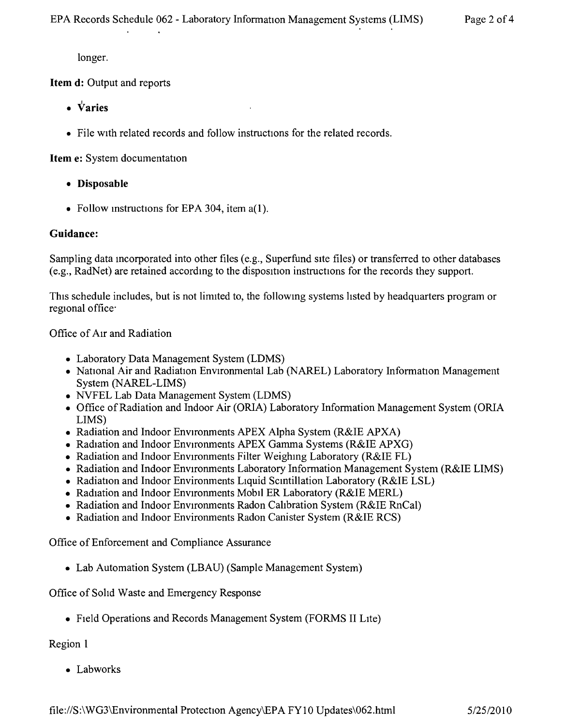longer.

Item d: Output and reports

- $\overrightarrow{\text{Varie}}$
- File with related records and follow instructions for the related records.

Item e: System documentation

- • Disposable
- Follow instructions for EPA 304, item  $a(1)$ .

### Guidance:

Sampling data Incorporated into other files (e.g., Superfund site files) or transferred to other databases (e.g., RadNet) are retained according to the disposition instructions for the records they support.

This schedule includes, but is not limited to, the following systems hsted by headquarters program or regional office'

Office of AIr and Radiation

- Laboratory Data Management System (LDMS)
- National Air and Radiation Environmental Lab (NAREL) Laboratory Information Management System (NAREL-LIMS)
- NVFEL Lab Data Management System (LDMS)
- Office of Radiation and Indoor Air (ORIA) Laboratory Information Management System (ORIA LIMS)
- Radiation and Indoor Environments APEX Alpha System (R&IE APXA)
- Radiation and Indoor Environments APEX Gamma Systems (R&IE APXG)
- Radiation and Indoor Environments Filter Weighing Laboratory (R&IE FL)
- Radiation and Indoor Environments Laboratory Information Management System (R&IE LIMS)
- Radiation and Indoor Environments Liquid Scintillation Laboratory (R&IE LSL)
- Radiation and Indoor Environments Mobil ER Laboratory (R&IE MERL)
- Radiation and Indoor Environments Radon Calibration System (R&IE RnCal)
- Radiation and Indoor Environments Radon Canister System (R&IE RCS)

Office of Enforcement and Compliance Assurance

• Lab Automation System (LBAU) (Sample Management System)

Office of Solid Waste and Emergency Response

• Field Operations and Records Management System (FORMS II Lite)

# Region 1

• Labworks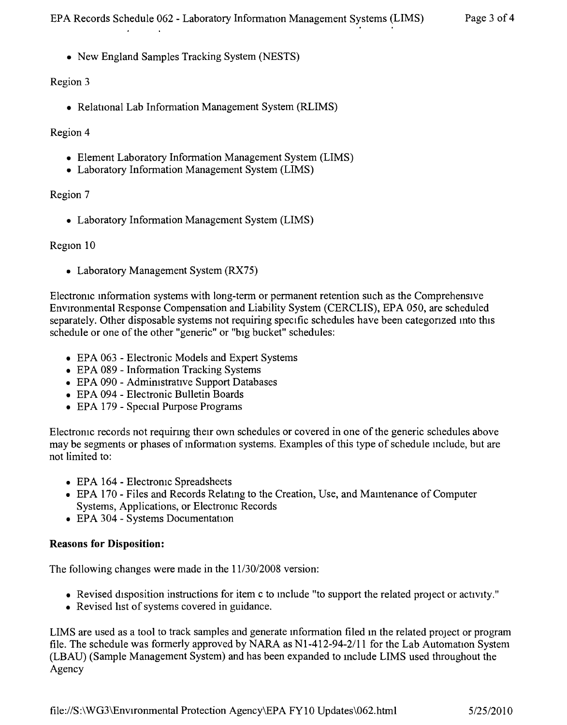• New England Samples Tracking System (NESTS)

## Region 3

• Relational Lab Information Management System (RLIMS)

## Region 4

- Element Laboratory Information Management System (LIMS)
- Laboratory Information Management System (LIMS)

## Region 7

• Laboratory Information Management System (LIMS)

## Region 10

• Laboratory Management System (RX75)

Electromc mformation systems with long-term or permanent retention such as the Comprehensive Environmental Response Compensation and Liability System (CERCLIS), EPA 050, are scheduled separately. Other disposable systems not requiring specific schedules have been categonzed mto this schedule or one of the other "generic" or "big bucket" schedules:

- EPA 063 Electronic Models and Expert Systems
- EPA 089 Information Tracking Systems
- EPA 090 Administrative Support Databases
- • EPA 094 Electronic Bulletin Boards
- EPA 179 Special Purpose Programs

Electromc records not requinng their own schedules or covered in one of the generic schedules above may be segments or phases of information systems. Examples of this type of schedule mclude, but are not limited to:

- EPA 164 Electronic Spreadsheets
- EPA 170 Files and Records Relating to the Creation, Use, and Maintenance of Computer Systems, Applications, or Electronic Records
- EPA 304 Systems Documentation

# **Reasons for Disposition:**

The following changes were made in the *11/3012008* version:

- Revised disposition instructions for item c to include "to support the related project or activity."
- Revised list of systems covered in guidance.

LIMS are used as a tool to track samples and generate mformation filed m the related project or program file. The schedule was formerly approved by NARA as *NI-412-94-2/11* for the Lab Automation System (LBAU) (Sample Management System) and has been expanded to mclude LIMS used throughout the Agency